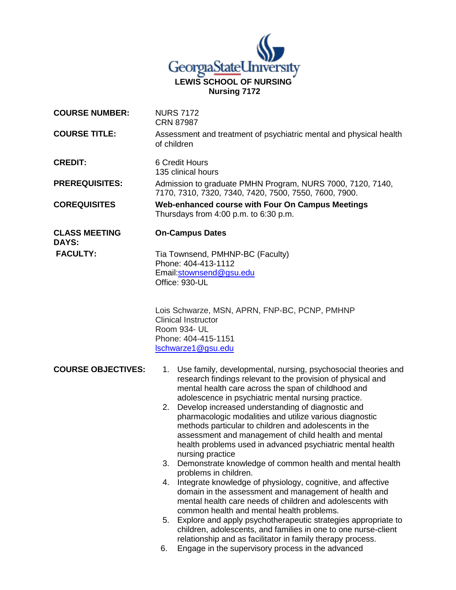

| <b>COURSE NUMBER:</b>                | <b>NURS 7172</b><br><b>CRN 87987</b>                                                                                                                                                                                                                                                                                                                                                                                                                                                                                                                                                                                                                                                                                                                                                                                                                                                                                                                                                                                                                                                                                                                                           |
|--------------------------------------|--------------------------------------------------------------------------------------------------------------------------------------------------------------------------------------------------------------------------------------------------------------------------------------------------------------------------------------------------------------------------------------------------------------------------------------------------------------------------------------------------------------------------------------------------------------------------------------------------------------------------------------------------------------------------------------------------------------------------------------------------------------------------------------------------------------------------------------------------------------------------------------------------------------------------------------------------------------------------------------------------------------------------------------------------------------------------------------------------------------------------------------------------------------------------------|
| <b>COURSE TITLE:</b>                 | Assessment and treatment of psychiatric mental and physical health<br>of children                                                                                                                                                                                                                                                                                                                                                                                                                                                                                                                                                                                                                                                                                                                                                                                                                                                                                                                                                                                                                                                                                              |
| <b>CREDIT:</b>                       | 6 Credit Hours<br>135 clinical hours                                                                                                                                                                                                                                                                                                                                                                                                                                                                                                                                                                                                                                                                                                                                                                                                                                                                                                                                                                                                                                                                                                                                           |
| <b>PREREQUISITES:</b>                | Admission to graduate PMHN Program, NURS 7000, 7120, 7140,<br>7170, 7310, 7320, 7340, 7420, 7500, 7550, 7600, 7900.                                                                                                                                                                                                                                                                                                                                                                                                                                                                                                                                                                                                                                                                                                                                                                                                                                                                                                                                                                                                                                                            |
| <b>COREQUISITES</b>                  | Web-enhanced course with Four On Campus Meetings<br>Thursdays from 4:00 p.m. to 6:30 p.m.                                                                                                                                                                                                                                                                                                                                                                                                                                                                                                                                                                                                                                                                                                                                                                                                                                                                                                                                                                                                                                                                                      |
| <b>CLASS MEETING</b><br><b>DAYS:</b> | <b>On-Campus Dates</b>                                                                                                                                                                                                                                                                                                                                                                                                                                                                                                                                                                                                                                                                                                                                                                                                                                                                                                                                                                                                                                                                                                                                                         |
| <b>FACULTY:</b>                      | Tia Townsend, PMHNP-BC (Faculty)<br>Phone: 404-413-1112<br>Email:stownsend@gsu.edu<br>Office: 930-UL                                                                                                                                                                                                                                                                                                                                                                                                                                                                                                                                                                                                                                                                                                                                                                                                                                                                                                                                                                                                                                                                           |
|                                      | Lois Schwarze, MSN, APRN, FNP-BC, PCNP, PMHNP<br><b>Clinical Instructor</b><br>Room 934- UL<br>Phone: 404-415-1151<br>Ischwarze1@gsu.edu                                                                                                                                                                                                                                                                                                                                                                                                                                                                                                                                                                                                                                                                                                                                                                                                                                                                                                                                                                                                                                       |
| <b>COURSE OBJECTIVES:</b>            | Use family, developmental, nursing, psychosocial theories and<br>1.<br>research findings relevant to the provision of physical and<br>mental health care across the span of childhood and<br>adolescence in psychiatric mental nursing practice.<br>Develop increased understanding of diagnostic and<br>2.<br>pharmacologic modalities and utilize various diagnostic<br>methods particular to children and adolescents in the<br>assessment and management of child health and mental<br>health problems used in advanced psychiatric mental health<br>nursing practice<br>3.<br>Demonstrate knowledge of common health and mental health<br>problems in children.<br>Integrate knowledge of physiology, cognitive, and affective<br>4.<br>domain in the assessment and management of health and<br>mental health care needs of children and adolescents with<br>common health and mental health problems.<br>Explore and apply psychotherapeutic strategies appropriate to<br>5.<br>children, adolescents, and families in one to one nurse-client<br>relationship and as facilitator in family therapy process.<br>Engage in the supervisory process in the advanced<br>6. |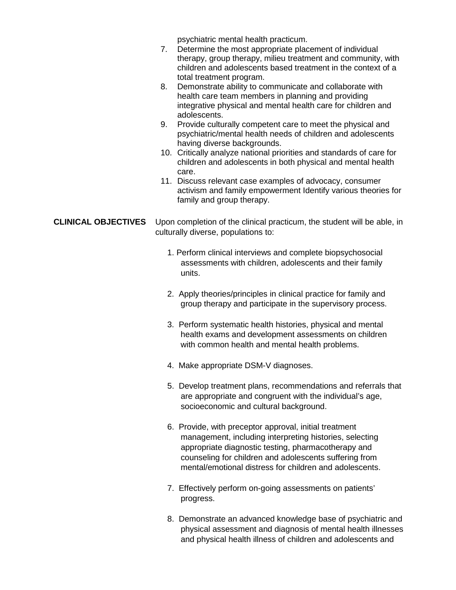psychiatric mental health practicum.

| Determine the most appropriate placement of individual       |  |
|--------------------------------------------------------------|--|
| therapy, group therapy, milieu treatment and community, with |  |
| children and adolescents based treatment in the context of a |  |
| total treatment program.                                     |  |

- 8. Demonstrate ability to communicate and collaborate with health care team members in planning and providing integrative physical and mental health care for children and adolescents.
- 9. Provide culturally competent care to meet the physical and psychiatric/mental health needs of children and adolescents having diverse backgrounds.
- 10. Critically analyze national priorities and standards of care for children and adolescents in both physical and mental health care.
- 11. Discuss relevant case examples of advocacy, consumer activism and family empowerment Identify various theories for family and group therapy.

**CLINICAL OBJECTIVES** Upon completion of the clinical practicum, the student will be able, in culturally diverse, populations to:

- 1. Perform clinical interviews and complete biopsychosocial assessments with children, adolescents and their family units.
- 2. Apply theories/principles in clinical practice for family and group therapy and participate in the supervisory process.
- 3. Perform systematic health histories, physical and mental health exams and development assessments on children with common health and mental health problems.
- 4. Make appropriate DSM-V diagnoses.
- 5. Develop treatment plans, recommendations and referrals that are appropriate and congruent with the individual's age, socioeconomic and cultural background.
- 6. Provide, with preceptor approval, initial treatment management, including interpreting histories, selecting appropriate diagnostic testing, pharmacotherapy and counseling for children and adolescents suffering from mental/emotional distress for children and adolescents.
- 7. Effectively perform on-going assessments on patients' progress.
- 8. Demonstrate an advanced knowledge base of psychiatric and physical assessment and diagnosis of mental health illnesses and physical health illness of children and adolescents and